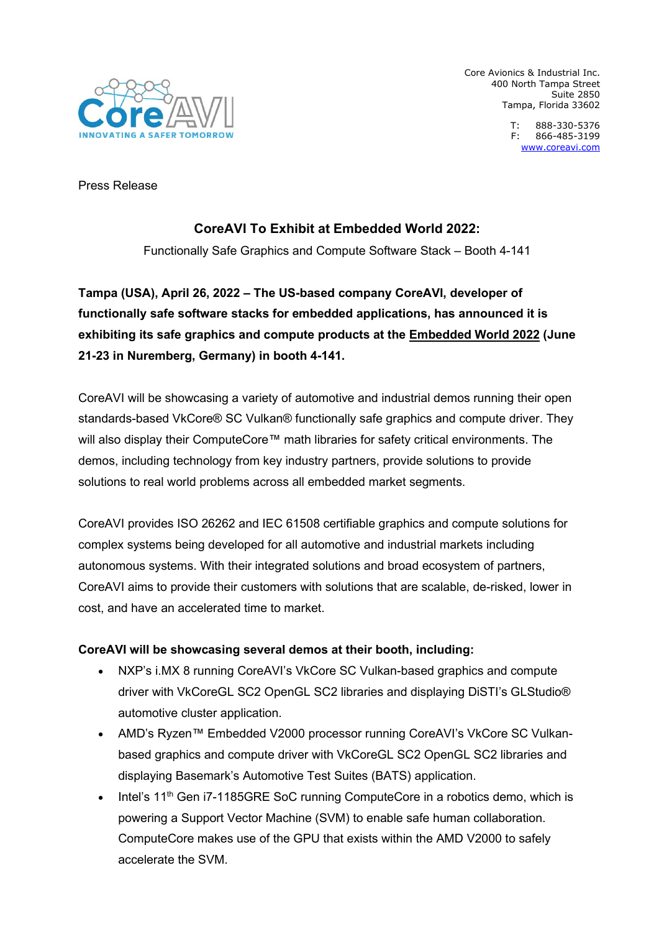

Core Avionics & Industrial Inc. 400 North Tampa Street Suite 2850 Tampa, Florida 33602

> T: 888-330-5376 F: 866-485-3199 [www.coreavi.com](http://www.coreavi.com/)

Press Release

# **CoreAVI To Exhibit at Embedded World 2022:**

Functionally Safe Graphics and Compute Software Stack – Booth 4-141

**Tampa (USA), April 26, 2022 – The US-based company CoreAVI, developer of functionally safe software stacks for embedded applications, has announced it is exhibiting its safe graphics and compute products at the [Embedded World 2022](https://coreavi.com/event/embedded-world-2022/) (June 21-23 in Nuremberg, Germany) in booth 4-141.**

CoreAVI will be showcasing a variety of automotive and industrial demos running their open standards-based VkCore® SC Vulkan® functionally safe graphics and compute driver. They will also display their ComputeCore™ math libraries for safety critical environments. The demos, including technology from key industry partners, provide solutions to provide solutions to real world problems across all embedded market segments.

CoreAVI provides ISO 26262 and IEC 61508 certifiable graphics and compute solutions for complex systems being developed for all automotive and industrial markets including autonomous systems. With their integrated solutions and broad ecosystem of partners, CoreAVI aims to provide their customers with solutions that are scalable, de-risked, lower in cost, and have an accelerated time to market.

## **CoreAVI will be showcasing several demos at their booth, including:**

- NXP's i.MX 8 running CoreAVI's VkCore SC Vulkan-based graphics and compute driver with VkCoreGL SC2 OpenGL SC2 libraries and displaying DiSTI's GLStudio® automotive cluster application.
- AMD's Ryzen™ Embedded V2000 processor running CoreAVI's VkCore SC Vulkanbased graphics and compute driver with VkCoreGL SC2 OpenGL SC2 libraries and displaying Basemark's Automotive Test Suites (BATS) application.
- Intel's  $11<sup>th</sup>$  Gen i7-1185GRE SoC running ComputeCore in a robotics demo, which is powering a Support Vector Machine (SVM) to enable safe human collaboration. ComputeCore makes use of the GPU that exists within the AMD V2000 to safely accelerate the SVM.